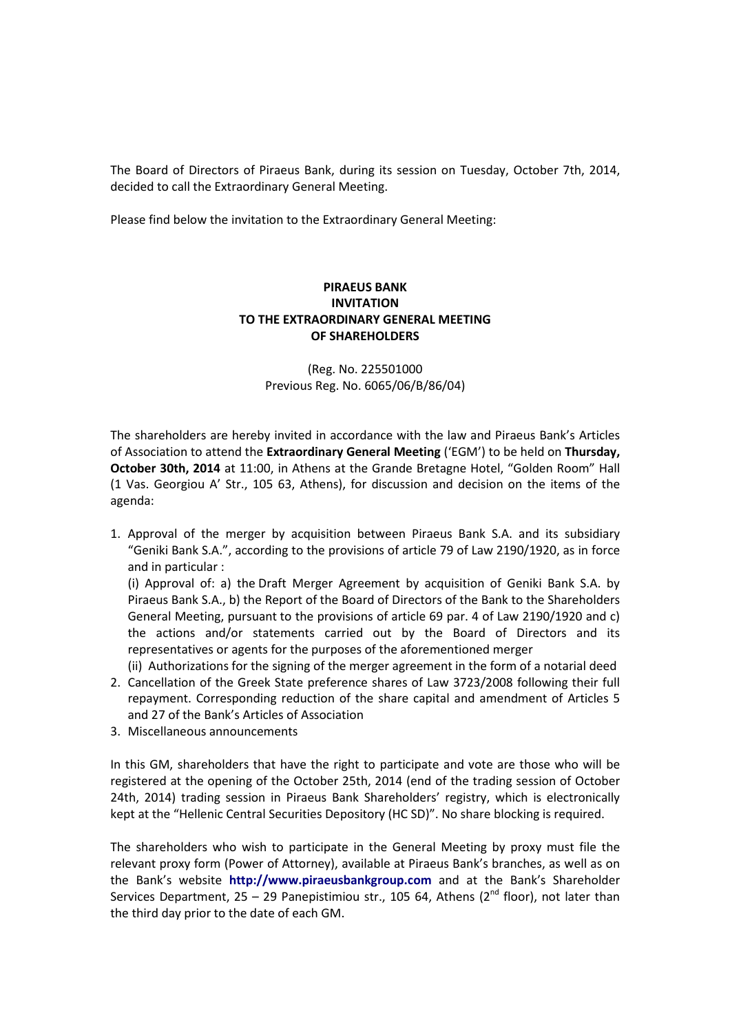The Board of Directors of Piraeus Bank, during its session on Tuesday, October 7th, 2014, decided to call the Extraordinary General Meeting.

Please find below the invitation to the Extraordinary General Meeting:

## **PIRAEUS BANK INVITATION TO THE EXTRAORDINARY GENERAL MEETING OF SHAREHOLDERS**

(Reg. No. 225501000 Previous Reg. No. 6065/06/Β/86/04)

The shareholders are hereby invited in accordance with the law and Piraeus Bank's Articles of Association to attend the **Extraordinary General Meeting** ('EGM') to be held on **Thursday, October 30th, 2014** at 11:00, in Athens at the Grande Bretagne Hotel, "Golden Room" Hall (1 Vas. Georgiou A' Str., 105 63, Athens), for discussion and decision on the items of the agenda:

1. Approval of the merger by acquisition between Piraeus Bank S.A. and its subsidiary "Geniki Bank S.A.", according to the provisions of article 79 of Law 2190/1920, as in force and in particular :

(i) Approval of: a) the Draft Merger Agreement by acquisition of Geniki Bank S.A. by Piraeus Bank S.A., b) the Report of the Board of Directors of the Bank to the Shareholders General Meeting, pursuant to the provisions of article 69 par. 4 of Law 2190/1920 and c) the actions and/or statements carried out by the Board of Directors and its representatives or agents for the purposes of the aforementioned merger

- (ii) Authorizations for the signing of the merger agreement in the form of a notarial deed 2. Cancellation of the Greek State preference shares of Law 3723/2008 following their full repayment. Corresponding reduction of the share capital and amendment of Articles 5 and 27 of the Bank's Articles of Association
- 3. Miscellaneous announcements

In this GM, shareholders that have the right to participate and vote are those who will be registered at the opening of the October 25th, 2014 (end of the trading session of October 24th, 2014) trading session in Piraeus Bank Shareholders' registry, which is electronically kept at the "Hellenic Central Securities Depository (HC SD)". No share blocking is required.

The shareholders who wish to participate in the General Meeting by proxy must file the relevant proxy form (Power of Attorney), available at Piraeus Bank's branches, as well as on the Bank's website **http://www.piraeusbankgroup.com** and at the Bank's Shareholder Services Department, 25 – 29 Panepistimiou str., 105 64, Athens ( $2^{nd}$  floor), not later than the third day prior to the date of each GM.